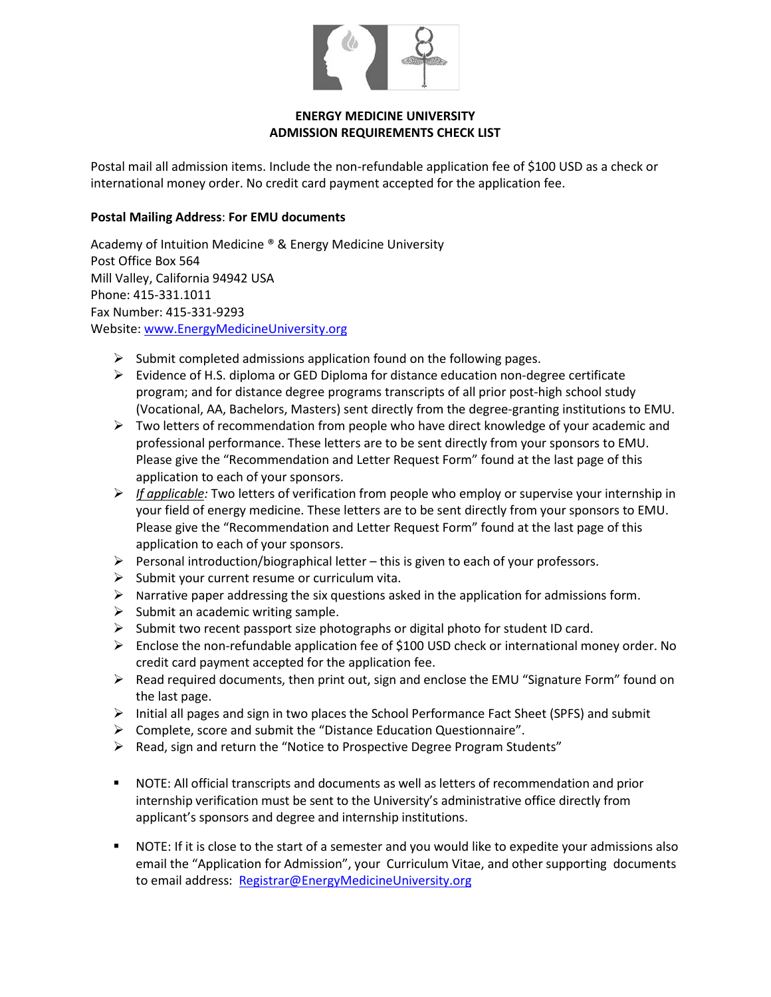

## **ENERGY MEDICINE UNIVERSITY ADMISSION REQUIREMENTS CHECK LIST**

Postal mail all admission items. Include the non-refundable application fee of \$100 USD as a check or international money order. No credit card payment accepted for the application fee.

## **Postal Mailing Address**: **For EMU documents**

Academy of Intuition Medicine ® & Energy Medicine University Post Office Box 564 Mill Valley, California 94942 USA Phone: 415-331.1011 Fax Number: 415-331-9293 Website[: www.EnergyMedicineUniversity.org](http://www.energymedicineuniversity.org/)

- $\triangleright$  Submit completed admissions application found on the following pages.
- $\triangleright$  Evidence of H.S. diploma or GED Diploma for distance education non-degree certificate program; and for distance degree programs transcripts of all prior post-high school study (Vocational, AA, Bachelors, Masters) sent directly from the degree-granting institutions to EMU.
- $\triangleright$  Two letters of recommendation from people who have direct knowledge of your academic and professional performance. These letters are to be sent directly from your sponsors to EMU. Please give the "Recommendation and Letter Request Form" found at the last page of this application to each of your sponsors.
- *If applicable:* Two letters of verification from people who employ or supervise your internship in your field of energy medicine. These letters are to be sent directly from your sponsors to EMU. Please give the "Recommendation and Letter Request Form" found at the last page of this application to each of your sponsors.
- $\triangleright$  Personal introduction/biographical letter this is given to each of your professors.
- $\triangleright$  Submit your current resume or curriculum vita.
- $\triangleright$  Narrative paper addressing the six questions asked in the application for admissions form.
- $\triangleright$  Submit an academic writing sample.
- $\triangleright$  Submit two recent passport size photographs or digital photo for student ID card.
- $\triangleright$  Enclose the non-refundable application fee of \$100 USD check or international money order. No credit card payment accepted for the application fee.
- $\triangleright$  Read required documents, then print out, sign and enclose the EMU "Signature Form" found on the last page.
- $\triangleright$  Initial all pages and sign in two places the School Performance Fact Sheet (SPFS) and submit
- Complete, score and submit the "Distance Education Questionnaire".
- Read, sign and return the "Notice to Prospective Degree Program Students"
- NOTE: All official transcripts and documents as well as letters of recommendation and prior internship verification must be sent to the University's administrative office directly from applicant's sponsors and degree and internship institutions.
- NOTE: If it is close to the start of a semester and you would like to expedite your admissions also email the "Application for Admission", your Curriculum Vitae, and other supporting documents to email address: [Registrar@EnergyMedicineUniversity.org](mailto:Registrar@EnergyMedicineUniversity.org)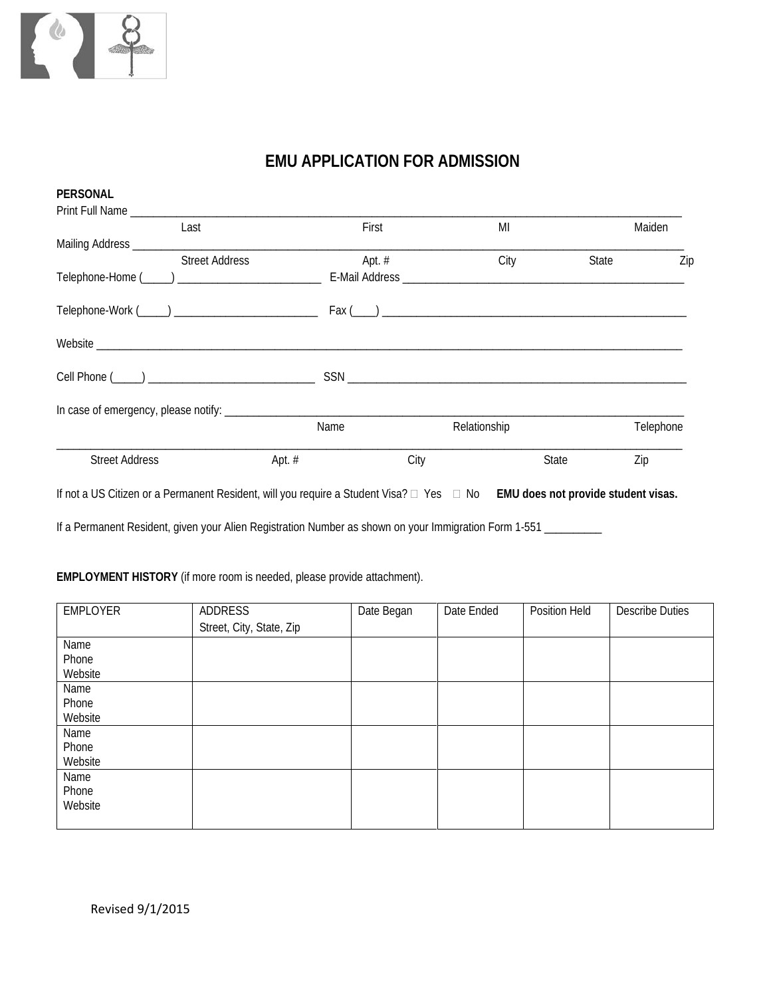

# **EMU APPLICATION FOR ADMISSION**

| <b>PERSONAL</b>       |                       |          |          |      |              |       |           |
|-----------------------|-----------------------|----------|----------|------|--------------|-------|-----------|
|                       |                       |          |          |      |              |       |           |
|                       | Last                  |          | First    |      | MI           |       | Maiden    |
|                       |                       |          |          |      |              |       |           |
|                       | <b>Street Address</b> |          | Apt. $#$ |      | City         | State | Zip       |
|                       |                       |          |          |      |              |       |           |
|                       |                       |          |          |      |              |       |           |
|                       |                       |          |          |      |              |       |           |
|                       |                       |          |          |      |              |       |           |
|                       |                       |          |          |      |              |       |           |
|                       |                       |          | Name     |      | Relationship |       | Telephone |
| <b>Street Address</b> |                       | Apt. $#$ |          | City |              | State | Zip       |
|                       |                       |          |          |      |              |       |           |

If not a US Citizen or a Permanent Resident, will you require a Student Visa? Yes No **EMU does not provide student visas.**

If a Permanent Resident, given your Alien Registration Number as shown on your Immigration Form 1-551 \_\_\_\_\_\_\_\_

## **EMPLOYMENT HISTORY** (if more room is needed, please provide attachment).

| <b>EMPLOYER</b> | ADDRESS                  | Date Began | Date Ended | Position Held | <b>Describe Duties</b> |
|-----------------|--------------------------|------------|------------|---------------|------------------------|
|                 | Street, City, State, Zip |            |            |               |                        |
| Name            |                          |            |            |               |                        |
| Phone           |                          |            |            |               |                        |
| Website         |                          |            |            |               |                        |
| Name            |                          |            |            |               |                        |
| Phone           |                          |            |            |               |                        |
| Website         |                          |            |            |               |                        |
| Name            |                          |            |            |               |                        |
| Phone           |                          |            |            |               |                        |
| Website         |                          |            |            |               |                        |
| Name            |                          |            |            |               |                        |
| Phone           |                          |            |            |               |                        |
| Website         |                          |            |            |               |                        |
|                 |                          |            |            |               |                        |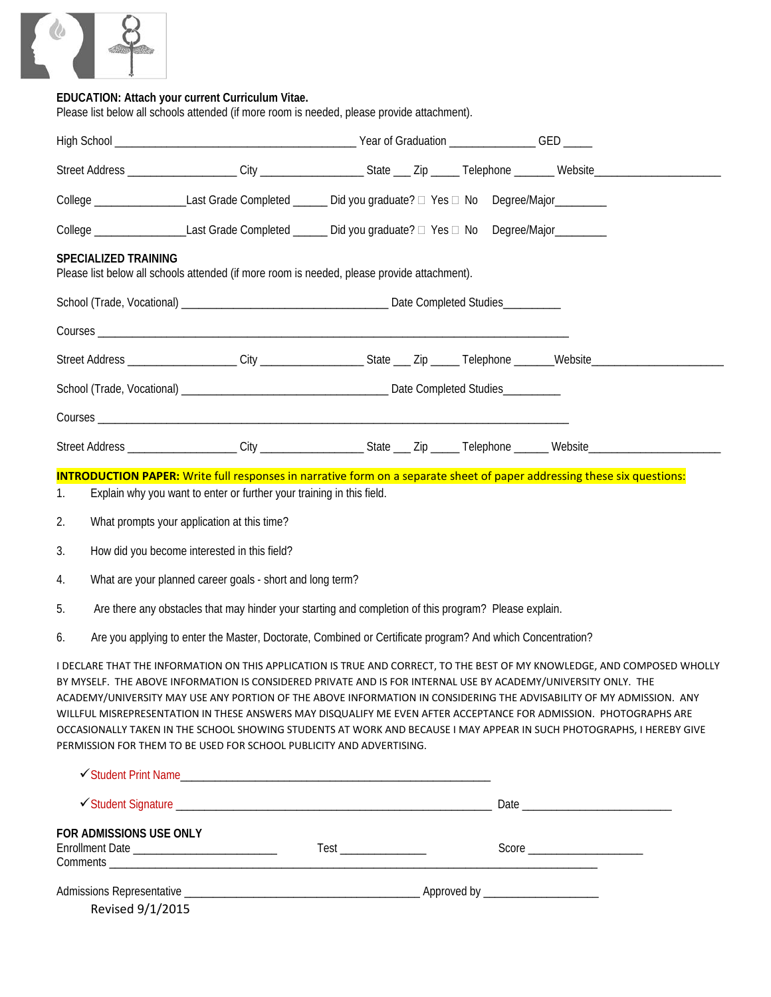

### **EDUCATION: Attach your current Curriculum Vitae.**

Please list below all schools attended (if more room is needed, please provide attachment).

|                                  |                             | Street Address ____________________City ___________________State ___ Zip ______Telephone _______Website________________________________                                                                                                                                                                                                                                                                                                                                                                                                                                                                                                                                                                                                                                                                                                                                                                                                                                                                                                                                                                                                                                                                                                                                                |  |  |  |
|----------------------------------|-----------------------------|----------------------------------------------------------------------------------------------------------------------------------------------------------------------------------------------------------------------------------------------------------------------------------------------------------------------------------------------------------------------------------------------------------------------------------------------------------------------------------------------------------------------------------------------------------------------------------------------------------------------------------------------------------------------------------------------------------------------------------------------------------------------------------------------------------------------------------------------------------------------------------------------------------------------------------------------------------------------------------------------------------------------------------------------------------------------------------------------------------------------------------------------------------------------------------------------------------------------------------------------------------------------------------------|--|--|--|
|                                  |                             | College ___________________Last Grade Completed _______ Did you graduate? □ Yes □ No Degree/Major_________                                                                                                                                                                                                                                                                                                                                                                                                                                                                                                                                                                                                                                                                                                                                                                                                                                                                                                                                                                                                                                                                                                                                                                             |  |  |  |
|                                  |                             | College ___________________Last Grade Completed _______ Did you graduate? □ Yes □ No Degree/Major_________                                                                                                                                                                                                                                                                                                                                                                                                                                                                                                                                                                                                                                                                                                                                                                                                                                                                                                                                                                                                                                                                                                                                                                             |  |  |  |
|                                  | <b>SPECIALIZED TRAINING</b> | Please list below all schools attended (if more room is needed, please provide attachment).                                                                                                                                                                                                                                                                                                                                                                                                                                                                                                                                                                                                                                                                                                                                                                                                                                                                                                                                                                                                                                                                                                                                                                                            |  |  |  |
|                                  |                             |                                                                                                                                                                                                                                                                                                                                                                                                                                                                                                                                                                                                                                                                                                                                                                                                                                                                                                                                                                                                                                                                                                                                                                                                                                                                                        |  |  |  |
|                                  |                             |                                                                                                                                                                                                                                                                                                                                                                                                                                                                                                                                                                                                                                                                                                                                                                                                                                                                                                                                                                                                                                                                                                                                                                                                                                                                                        |  |  |  |
|                                  |                             | Street Address ___________________City ___________________State ___ Zip _____Telephone ______Website___________________________________                                                                                                                                                                                                                                                                                                                                                                                                                                                                                                                                                                                                                                                                                                                                                                                                                                                                                                                                                                                                                                                                                                                                                |  |  |  |
|                                  |                             |                                                                                                                                                                                                                                                                                                                                                                                                                                                                                                                                                                                                                                                                                                                                                                                                                                                                                                                                                                                                                                                                                                                                                                                                                                                                                        |  |  |  |
|                                  |                             |                                                                                                                                                                                                                                                                                                                                                                                                                                                                                                                                                                                                                                                                                                                                                                                                                                                                                                                                                                                                                                                                                                                                                                                                                                                                                        |  |  |  |
|                                  |                             | Street Address ___________________City ___________________State ___ Zip _____Telephone ______Website___________________________________                                                                                                                                                                                                                                                                                                                                                                                                                                                                                                                                                                                                                                                                                                                                                                                                                                                                                                                                                                                                                                                                                                                                                |  |  |  |
| 1.<br>2.<br>3.<br>4.<br>5.<br>6. |                             | <b>INTRODUCTION PAPER:</b> Write full responses in narrative form on a separate sheet of paper addressing these six questions:<br>Explain why you want to enter or further your training in this field.<br>What prompts your application at this time?<br>How did you become interested in this field?<br>What are your planned career goals - short and long term?<br>Are there any obstacles that may hinder your starting and completion of this program? Please explain.<br>Are you applying to enter the Master, Doctorate, Combined or Certificate program? And which Concentration?<br>I DECLARE THAT THE INFORMATION ON THIS APPLICATION IS TRUE AND CORRECT, TO THE BEST OF MY KNOWLEDGE, AND COMPOSED WHOLLY<br>BY MYSELF. THE ABOVE INFORMATION IS CONSIDERED PRIVATE AND IS FOR INTERNAL USE BY ACADEMY/UNIVERSITY ONLY. THE<br>ACADEMY/UNIVERSITY MAY USE ANY PORTION OF THE ABOVE INFORMATION IN CONSIDERING THE ADVISABILITY OF MY ADMISSION. ANY<br>WILLFUL MISREPRESENTATION IN THESE ANSWERS MAY DISQUALIFY ME EVEN AFTER ACCEPTANCE FOR ADMISSION. PHOTOGRAPHS ARE<br>OCCASIONALLY TAKEN IN THE SCHOOL SHOWING STUDENTS AT WORK AND BECAUSE I MAY APPEAR IN SUCH PHOTOGRAPHS, I HEREBY GIVE<br>PERMISSION FOR THEM TO BE USED FOR SCHOOL PUBLICITY AND ADVERTISING. |  |  |  |
|                                  | FOR ADMISSIONS USE ONLY     |                                                                                                                                                                                                                                                                                                                                                                                                                                                                                                                                                                                                                                                                                                                                                                                                                                                                                                                                                                                                                                                                                                                                                                                                                                                                                        |  |  |  |
|                                  | Revised 9/1/2015            |                                                                                                                                                                                                                                                                                                                                                                                                                                                                                                                                                                                                                                                                                                                                                                                                                                                                                                                                                                                                                                                                                                                                                                                                                                                                                        |  |  |  |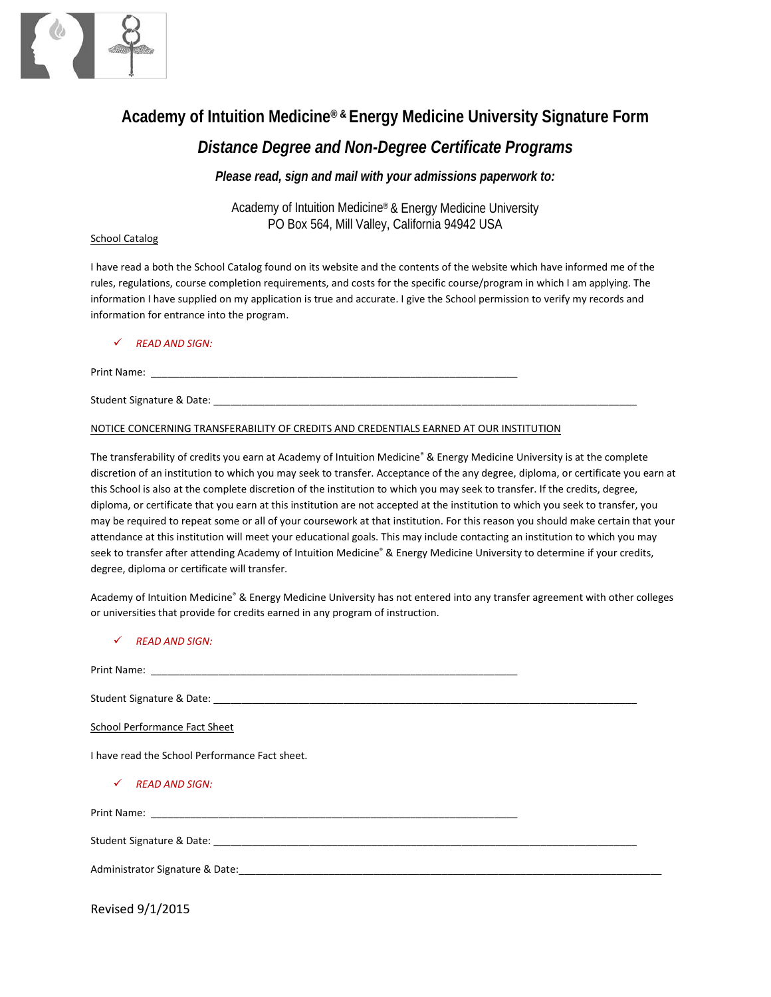

# **Academy of Intuition Medicine® & Energy Medicine University Signature Form**

## *Distance Degree and Non-Degree Certificate Programs*

*Please read, sign and mail with your admissions paperwork to:*

Academy of Intuition Medicine® & Energy Medicine University PO Box 564, Mill Valley, California 94942 USA

#### School Catalog

I have read a both the School Catalog found on its website and the contents of the website which have informed me of the rules, regulations, course completion requirements, and costs for the specific course/program in which I am applying. The information I have supplied on my application is true and accurate. I give the School permission to verify my records and information for entrance into the program.

### *READ AND SIGN:*

Print Name:

Student Signature & Date: \_\_\_\_\_\_\_\_\_\_\_\_\_\_\_\_\_\_\_\_\_\_\_\_\_\_\_\_\_\_\_\_\_\_\_\_\_\_\_\_\_\_\_\_\_\_\_\_\_\_\_\_\_\_\_\_\_\_\_\_\_\_\_\_\_\_\_\_\_\_\_\_\_\_\_

### NOTICE CONCERNING TRANSFERABILITY OF CREDITS AND CREDENTIALS EARNED AT OUR INSTITUTION

The transferability of credits you earn at Academy of Intuition Medicine® & Energy Medicine University is at the complete discretion of an institution to which you may seek to transfer. Acceptance of the any degree, diploma, or certificate you earn at this School is also at the complete discretion of the institution to which you may seek to transfer. If the credits, degree, diploma, or certificate that you earn at this institution are not accepted at the institution to which you seek to transfer, you may be required to repeat some or all of your coursework at that institution. For this reason you should make certain that your attendance at this institution will meet your educational goals. This may include contacting an institution to which you may seek to transfer after attending Academy of Intuition Medicine® & Energy Medicine University to determine if your credits, degree, diploma or certificate will transfer.

Academy of Intuition Medicine® & Energy Medicine University has not entered into any transfer agreement with other colleges or universities that provide for credits earned in any program of instruction.

*READ AND SIGN:*

| School Performance Fact Sheet                  |
|------------------------------------------------|
| I have read the School Performance Fact sheet. |
| $\checkmark$<br><b>READ AND SIGN:</b>          |
|                                                |
|                                                |
|                                                |
|                                                |

Revised 9/1/2015